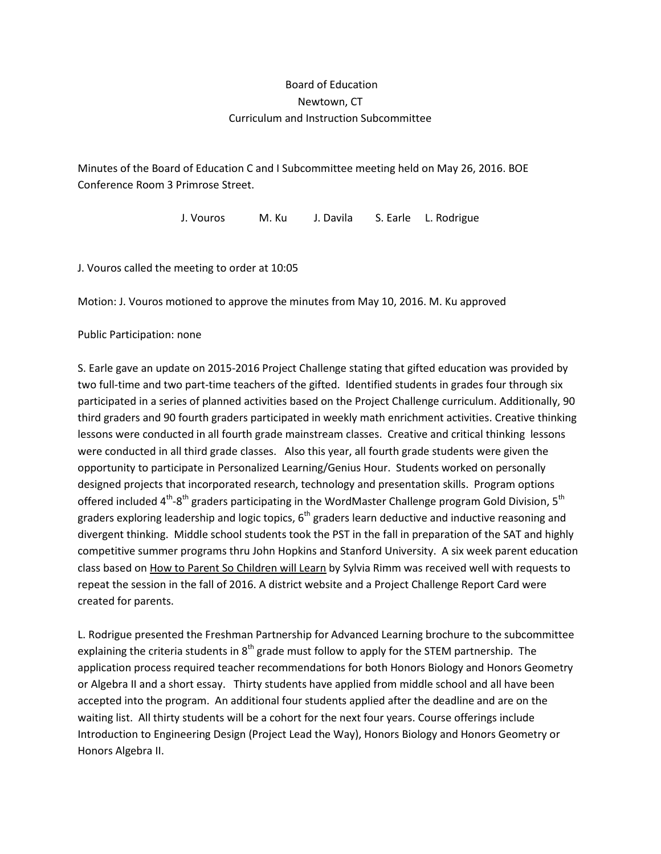## Board of Education Newtown, CT Curriculum and Instruction Subcommittee

Minutes of the Board of Education C and I Subcommittee meeting held on May 26, 2016. BOE Conference Room 3 Primrose Street.

J. Vouros M. Ku J. Davila S. Earle L. Rodrigue

J. Vouros called the meeting to order at 10:05

Motion: J. Vouros motioned to approve the minutes from May 10, 2016. M. Ku approved

Public Participation: none

S. Earle gave an update on 2015-2016 Project Challenge stating that gifted education was provided by two full-time and two part-time teachers of the gifted. Identified students in grades four through six participated in a series of planned activities based on the Project Challenge curriculum. Additionally, 90 third graders and 90 fourth graders participated in weekly math enrichment activities. Creative thinking lessons were conducted in all fourth grade mainstream classes. Creative and critical thinking lessons were conducted in all third grade classes. Also this year, all fourth grade students were given the opportunity to participate in Personalized Learning/Genius Hour. Students worked on personally designed projects that incorporated research, technology and presentation skills. Program options offered included  $4<sup>th</sup>$ -8<sup>th</sup> graders participating in the WordMaster Challenge program Gold Division, 5<sup>th</sup> graders exploring leadership and logic topics,  $6<sup>th</sup>$  graders learn deductive and inductive reasoning and divergent thinking. Middle school students took the PST in the fall in preparation of the SAT and highly competitive summer programs thru John Hopkins and Stanford University. A six week parent education class based on How to Parent So Children will Learn by Sylvia Rimm was received well with requests to repeat the session in the fall of 2016. A district website and a Project Challenge Report Card were created for parents.

L. Rodrigue presented the Freshman Partnership for Advanced Learning brochure to the subcommittee explaining the criteria students in  $8<sup>th</sup>$  grade must follow to apply for the STEM partnership. The application process required teacher recommendations for both Honors Biology and Honors Geometry or Algebra II and a short essay. Thirty students have applied from middle school and all have been accepted into the program. An additional four students applied after the deadline and are on the waiting list. All thirty students will be a cohort for the next four years. Course offerings include Introduction to Engineering Design (Project Lead the Way), Honors Biology and Honors Geometry or Honors Algebra II.